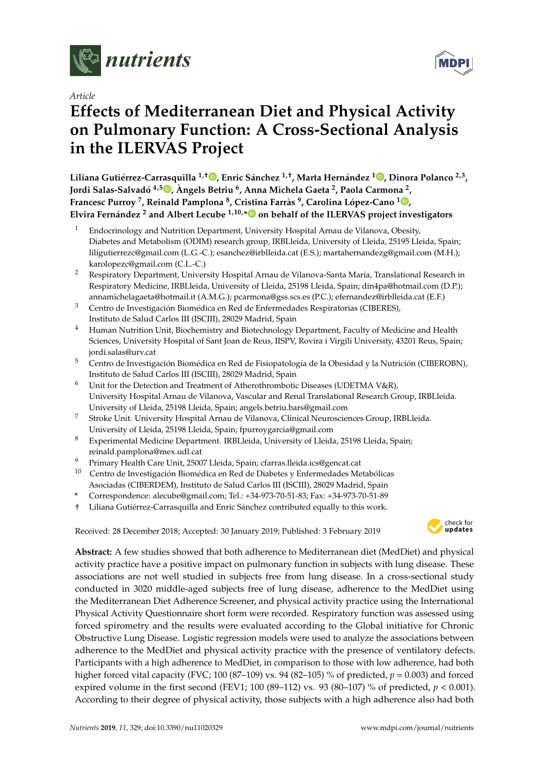

*Article*

# **Effects of Mediterranean Diet and Physical Activity on Pulmonary Function: A Cross-Sectional Analysis in the ILERVAS Project**

**Liliana Gutiérrez-Carrasquilla 1,† [,](https://orcid.org/0000-0001-7809-3903) Enric Sánchez 1,†, Marta Hernández <sup>1</sup> [,](https://orcid.org/0000-0003-1237-298X) Dinora Polanco 2,3 , Jordi Salas-Salvadó 4,5 [,](https://orcid.org/0000-0003-2700-7459) Àngels Betriu <sup>6</sup> , Anna Michela Gaeta <sup>2</sup> , Paola Carmona <sup>2</sup> , Francesc Purroy <sup>7</sup> , Reinald Pamplona <sup>8</sup> , Cristina Farràs 9 , Carolina López-Cano <sup>1</sup> [,](https://orcid.org/0000-0001-7458-5871) Elvira Fernández <sup>2</sup> and Albert Lecube 1,10,[\\*](https://orcid.org/0000-0001-9684-0183) on behalf of the ILERVAS project investigators**

- <sup>1</sup> Endocrinology and Nutrition Department, University Hospital Arnau de Vilanova, Obesity, Diabetes and Metabolism (ODIM) research group, IRBLleida, University of Lleida, 25195 Lleida, Spain; liligutierrezc@gmail.com (L.G.-C.); esanchez@irblleida.cat (E.S.); martahernandezg@gmail.com (M.H.); karolopezc@gmail.com (C.L.-C.)
- <sup>2</sup> Respiratory Department, University Hospital Arnau de Vilanova-Santa María, Translational Research in Respiratory Medicine, IRBLleida, University of Lleida, 25198 Lleida, Spain; din4pa@hotmail.com (D.P.); annamichelagaeta@hotmail.it (A.M.G.); pcarmona@gss.scs.es (P.C.); efernandez@irblleida.cat (E.F.)
- <sup>3</sup> Centro de Investigación Biomédica en Red de Enfermedades Respiratorias (CIBERES), Instituto de Salud Carlos III (ISCIII), 28029 Madrid, Spain
- <sup>4</sup> Human Nutrition Unit, Biochemistry and Biotechnology Department, Faculty of Medicine and Health Sciences, University Hospital of Sant Joan de Reus, IISPV, Rovira i Virgili University, 43201 Reus, Spain; jordi.salas@urv.cat
- <sup>5</sup> Centro de Investigación Biomédica en Red de Fisiopatología de la Obesidad y la Nutrición (CIBEROBN), Instituto de Salud Carlos III (ISCIII), 28029 Madrid, Spain
- Unit for the Detection and Treatment of Atherothrombotic Diseases (UDETMA V&R), University Hospital Arnau de Vilanova, Vascular and Renal Translational Research Group, IRBLleida. University of Lleida, 25198 Lleida, Spain; angels.betriu.bars@gmail.com
- <sup>7</sup> Stroke Unit. University Hospital Arnau de Vilanova, Clinical Neurosciences Group, IRBLleida. University of Lleida, 25198 Lleida, Spain; fpurroygarcia@gmail.com
- <sup>8</sup> Experimental Medicine Department. IRBLleida, University of Lleida, 25198 Lleida, Spain; reinald.pamplona@mex.udl.cat
- <sup>9</sup> Primary Health Care Unit, 25007 Lleida, Spain; cfarras.lleida.ics@gencat.cat
- $10$  Centro de Investigación Biomédica en Red de Diabetes y Enfermedades Metabólicas Asociadas (CIBERDEM), Instituto de Salud Carlos III (ISCIII), 28029 Madrid, Spain
- **\*** Correspondence: alecube@gmail.com; Tel.: +34-973-70-51-83; Fax: +34-973-70-51-89
- † Liliana Gutiérrez-Carrasquilla and Enric Sánchez contributed equally to this work.

Received: 28 December 2018; Accepted: 30 January 2019; Published: 3 February 2019 -



**Abstract:** A few studies showed that both adherence to Mediterranean diet (MedDiet) and physical activity practice have a positive impact on pulmonary function in subjects with lung disease. These associations are not well studied in subjects free from lung disease. In a cross-sectional study conducted in 3020 middle-aged subjects free of lung disease, adherence to the MedDiet using the Mediterranean Diet Adherence Screener, and physical activity practice using the International Physical Activity Questionnaire short form were recorded. Respiratory function was assessed using forced spirometry and the results were evaluated according to the Global initiative for Chronic Obstructive Lung Disease. Logistic regression models were used to analyze the associations between adherence to the MedDiet and physical activity practice with the presence of ventilatory defects. Participants with a high adherence to MedDiet, in comparison to those with low adherence, had both higher forced vital capacity (FVC; 100 (87–109) vs. 94 (82–105) % of predicted, *p* = 0.003) and forced expired volume in the first second (FEV1; 100 (89–112) vs. 93 (80–107) % of predicted, *p* < 0.001). According to their degree of physical activity, those subjects with a high adherence also had both

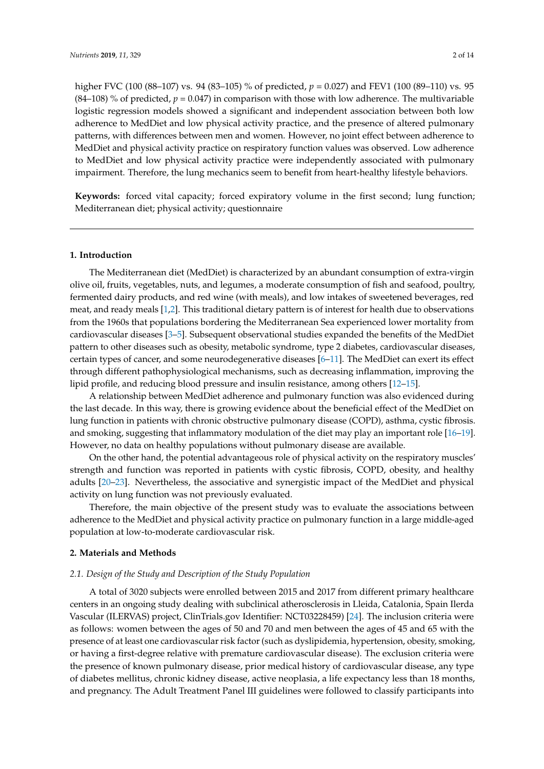higher FVC (100 (88–107) vs. 94 (83–105) % of predicted, *p* = 0.027) and FEV1 (100 (89–110) vs. 95  $(84–108)$  % of predicted,  $p = 0.047$  in comparison with those with low adherence. The multivariable logistic regression models showed a significant and independent association between both low adherence to MedDiet and low physical activity practice, and the presence of altered pulmonary patterns, with differences between men and women. However, no joint effect between adherence to MedDiet and physical activity practice on respiratory function values was observed. Low adherence to MedDiet and low physical activity practice were independently associated with pulmonary impairment. Therefore, the lung mechanics seem to benefit from heart-healthy lifestyle behaviors.

**Keywords:** forced vital capacity; forced expiratory volume in the first second; lung function; Mediterranean diet; physical activity; questionnaire

#### **1. Introduction**

The Mediterranean diet (MedDiet) is characterized by an abundant consumption of extra-virgin olive oil, fruits, vegetables, nuts, and legumes, a moderate consumption of fish and seafood, poultry, fermented dairy products, and red wine (with meals), and low intakes of sweetened beverages, red meat, and ready meals [\[1,](#page-10-0)[2\]](#page-10-1). This traditional dietary pattern is of interest for health due to observations from the 1960s that populations bordering the Mediterranean Sea experienced lower mortality from cardiovascular diseases [\[3](#page-10-2)[–5\]](#page-10-3). Subsequent observational studies expanded the benefits of the MedDiet pattern to other diseases such as obesity, metabolic syndrome, type 2 diabetes, cardiovascular diseases, certain types of cancer, and some neurodegenerative diseases [\[6](#page-10-4)[–11\]](#page-10-5). The MedDiet can exert its effect through different pathophysiological mechanisms, such as decreasing inflammation, improving the lipid profile, and reducing blood pressure and insulin resistance, among others [\[12](#page-10-6)[–15\]](#page-10-7).

A relationship between MedDiet adherence and pulmonary function was also evidenced during the last decade. In this way, there is growing evidence about the beneficial effect of the MedDiet on lung function in patients with chronic obstructive pulmonary disease (COPD), asthma, cystic fibrosis. and smoking, suggesting that inflammatory modulation of the diet may play an important role [\[16–](#page-10-8)[19\]](#page-10-9). However, no data on healthy populations without pulmonary disease are available.

On the other hand, the potential advantageous role of physical activity on the respiratory muscles' strength and function was reported in patients with cystic fibrosis, COPD, obesity, and healthy adults [\[20](#page-11-0)[–23\]](#page-11-1). Nevertheless, the associative and synergistic impact of the MedDiet and physical activity on lung function was not previously evaluated.

Therefore, the main objective of the present study was to evaluate the associations between adherence to the MedDiet and physical activity practice on pulmonary function in a large middle-aged population at low-to-moderate cardiovascular risk.

#### **2. Materials and Methods**

#### *2.1. Design of the Study and Description of the Study Population*

A total of 3020 subjects were enrolled between 2015 and 2017 from different primary healthcare centers in an ongoing study dealing with subclinical atherosclerosis in Lleida, Catalonia, Spain Ilerda Vascular (ILERVAS) project, ClinTrials.gov Identifier: NCT03228459) [\[24\]](#page-11-2). The inclusion criteria were as follows: women between the ages of 50 and 70 and men between the ages of 45 and 65 with the presence of at least one cardiovascular risk factor (such as dyslipidemia, hypertension, obesity, smoking, or having a first-degree relative with premature cardiovascular disease). The exclusion criteria were the presence of known pulmonary disease, prior medical history of cardiovascular disease, any type of diabetes mellitus, chronic kidney disease, active neoplasia, a life expectancy less than 18 months, and pregnancy. The Adult Treatment Panel III guidelines were followed to classify participants into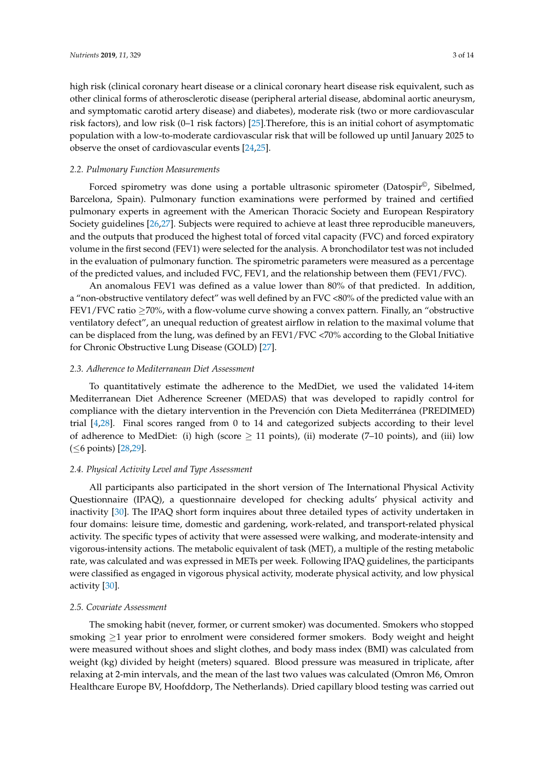high risk (clinical coronary heart disease or a clinical coronary heart disease risk equivalent, such as other clinical forms of atherosclerotic disease (peripheral arterial disease, abdominal aortic aneurysm, and symptomatic carotid artery disease) and diabetes), moderate risk (two or more cardiovascular risk factors), and low risk (0–1 risk factors) [\[25\]](#page-11-3).Therefore, this is an initial cohort of asymptomatic population with a low-to-moderate cardiovascular risk that will be followed up until January 2025 to observe the onset of cardiovascular events [\[24,](#page-11-2)[25\]](#page-11-3).

### *2.2. Pulmonary Function Measurements*

Forced spirometry was done using a portable ultrasonic spirometer (Datospir<sup>©</sup>, Sibelmed, Barcelona, Spain). Pulmonary function examinations were performed by trained and certified pulmonary experts in agreement with the American Thoracic Society and European Respiratory Society guidelines [\[26,](#page-11-4)[27\]](#page-11-5). Subjects were required to achieve at least three reproducible maneuvers, and the outputs that produced the highest total of forced vital capacity (FVC) and forced expiratory volume in the first second (FEV1) were selected for the analysis. A bronchodilator test was not included in the evaluation of pulmonary function. The spirometric parameters were measured as a percentage of the predicted values, and included FVC, FEV1, and the relationship between them (FEV1/FVC).

An anomalous FEV1 was defined as a value lower than 80% of that predicted. In addition, a "non-obstructive ventilatory defect" was well defined by an FVC <80% of the predicted value with an FEV1/FVC ratio ≥70%, with a flow-volume curve showing a convex pattern. Finally, an "obstructive ventilatory defect", an unequal reduction of greatest airflow in relation to the maximal volume that can be displaced from the lung, was defined by an FEV1/FVC <70% according to the Global Initiative for Chronic Obstructive Lung Disease (GOLD) [\[27\]](#page-11-5).

## *2.3. Adherence to Mediterranean Diet Assessment*

To quantitatively estimate the adherence to the MedDiet, we used the validated 14-item Mediterranean Diet Adherence Screener (MEDAS) that was developed to rapidly control for compliance with the dietary intervention in the Prevención con Dieta Mediterránea (PREDIMED) trial [\[4,](#page-10-10)[28\]](#page-11-6). Final scores ranged from 0 to 14 and categorized subjects according to their level of adherence to MedDiet: (i) high (score  $\geq$  11 points), (ii) moderate (7–10 points), and (iii) low  $(\leq 6$  points) [\[28](#page-11-6)[,29\]](#page-11-7).

# *2.4. Physical Activity Level and Type Assessment*

All participants also participated in the short version of The International Physical Activity Questionnaire (IPAQ), a questionnaire developed for checking adults' physical activity and inactivity [\[30\]](#page-11-8). The IPAQ short form inquires about three detailed types of activity undertaken in four domains: leisure time, domestic and gardening, work-related, and transport-related physical activity. The specific types of activity that were assessed were walking, and moderate-intensity and vigorous-intensity actions. The metabolic equivalent of task (MET), a multiple of the resting metabolic rate, was calculated and was expressed in METs per week. Following IPAQ guidelines, the participants were classified as engaged in vigorous physical activity, moderate physical activity, and low physical activity [\[30\]](#page-11-8).

#### *2.5. Covariate Assessment*

The smoking habit (never, former, or current smoker) was documented. Smokers who stopped smoking ≥1 year prior to enrolment were considered former smokers. Body weight and height were measured without shoes and slight clothes, and body mass index (BMI) was calculated from weight (kg) divided by height (meters) squared. Blood pressure was measured in triplicate, after relaxing at 2-min intervals, and the mean of the last two values was calculated (Omron M6, Omron Healthcare Europe BV, Hoofddorp, The Netherlands). Dried capillary blood testing was carried out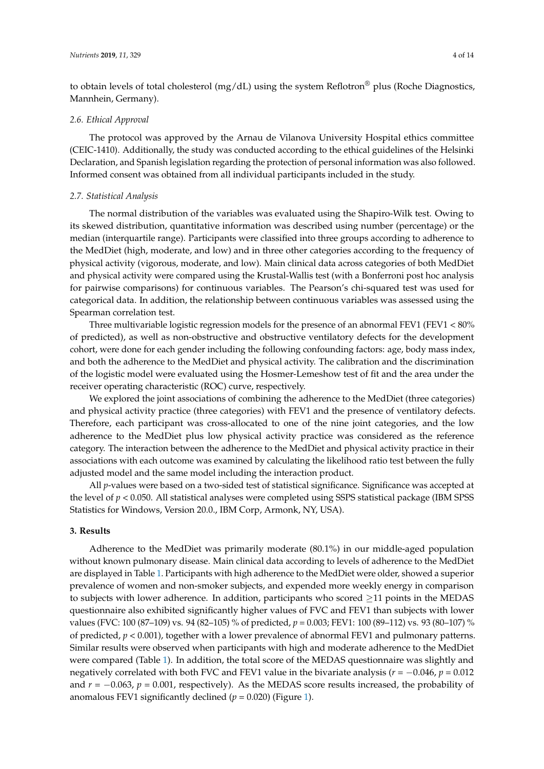to obtain levels of total cholesterol (mg/dL) using the system Reflotron® plus (Roche Diagnostics, Mannhein, Germany).

#### *2.6. Ethical Approval*

The protocol was approved by the Arnau de Vilanova University Hospital ethics committee (CEIC-1410). Additionally, the study was conducted according to the ethical guidelines of the Helsinki Declaration, and Spanish legislation regarding the protection of personal information was also followed. Informed consent was obtained from all individual participants included in the study.

#### *2.7. Statistical Analysis*

The normal distribution of the variables was evaluated using the Shapiro-Wilk test. Owing to its skewed distribution, quantitative information was described using number (percentage) or the median (interquartile range). Participants were classified into three groups according to adherence to the MedDiet (high, moderate, and low) and in three other categories according to the frequency of physical activity (vigorous, moderate, and low). Main clinical data across categories of both MedDiet and physical activity were compared using the Krustal-Wallis test (with a Bonferroni post hoc analysis for pairwise comparisons) for continuous variables. The Pearson's chi-squared test was used for categorical data. In addition, the relationship between continuous variables was assessed using the Spearman correlation test.

Three multivariable logistic regression models for the presence of an abnormal FEV1 (FEV1 < 80% of predicted), as well as non-obstructive and obstructive ventilatory defects for the development cohort, were done for each gender including the following confounding factors: age, body mass index, and both the adherence to the MedDiet and physical activity. The calibration and the discrimination of the logistic model were evaluated using the Hosmer-Lemeshow test of fit and the area under the receiver operating characteristic (ROC) curve, respectively.

We explored the joint associations of combining the adherence to the MedDiet (three categories) and physical activity practice (three categories) with FEV1 and the presence of ventilatory defects. Therefore, each participant was cross-allocated to one of the nine joint categories, and the low adherence to the MedDiet plus low physical activity practice was considered as the reference category. The interaction between the adherence to the MedDiet and physical activity practice in their associations with each outcome was examined by calculating the likelihood ratio test between the fully adjusted model and the same model including the interaction product.

All *p*-values were based on a two-sided test of statistical significance. Significance was accepted at the level of *p* < 0.050. All statistical analyses were completed using SSPS statistical package (IBM SPSS Statistics for Windows, Version 20.0., IBM Corp, Armonk, NY, USA).

#### **3. Results**

Adherence to the MedDiet was primarily moderate (80.1%) in our middle-aged population without known pulmonary disease. Main clinical data according to levels of adherence to the MedDiet are displayed in Table [1.](#page-4-0) Participants with high adherence to the MedDiet were older, showed a superior prevalence of women and non-smoker subjects, and expended more weekly energy in comparison to subjects with lower adherence. In addition, participants who scored  $\geq$ 11 points in the MEDAS questionnaire also exhibited significantly higher values of FVC and FEV1 than subjects with lower values (FVC: 100 (87–109) vs. 94 (82–105) % of predicted, *p* = 0.003; FEV1: 100 (89–112) vs. 93 (80–107) % of predicted,  $p < 0.001$ ), together with a lower prevalence of abnormal FEV1 and pulmonary patterns. Similar results were observed when participants with high and moderate adherence to the MedDiet were compared (Table [1\)](#page-4-0). In addition, the total score of the MEDAS questionnaire was slightly and negatively correlated with both FVC and FEV1 value in the bivariate analysis (*r* = −0.046, *p* = 0.012 and  $r = -0.063$ ,  $p = 0.001$ , respectively). As the MEDAS score results increased, the probability of anomalous FEV1 significantly declined  $(p = 0.020)$  (Figure [1\)](#page-4-1).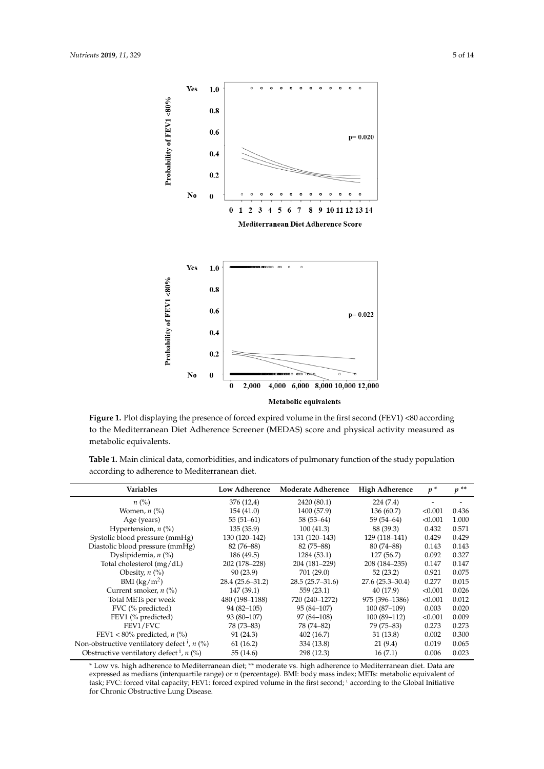<span id="page-4-1"></span>

Figure 1. Plot displaying the presence of forced expired volume in the first second (FEV1) <80 according to the Mediterranean Diet Adherence Screener (MEDAS) score and physical activity measured as metabolic equivalents.

<span id="page-4-0"></span>

| Table 1. Main clinical data, comorbidities, and indicators of pulmonary function of the study population |  |
|----------------------------------------------------------------------------------------------------------|--|
| according to adherence to Mediterranean diet.                                                            |  |

| Variables                                                 | <b>Low Adherence</b> | <b>Moderate Adherence</b> | <b>High Adherence</b> | $p^*$   | $p^{\ast\ast}$ |
|-----------------------------------------------------------|----------------------|---------------------------|-----------------------|---------|----------------|
| $n\ (\%)$                                                 | 376 (12,4)           | 2420 (80.1)               | 224(7.4)              |         |                |
| Women, $n$ $\left(\frac{9}{6}\right)$                     | 154(41.0)            | 1400 (57.9)               | 136 (60.7)            | < 0.001 | 0.436          |
| Age (years)                                               | $55(51-61)$          | $58(53-64)$               | $59(54-64)$           | < 0.001 | 1.000          |
| Hypertension, $n$ (%)                                     | 135(35.9)            | 100(41.3)                 | 88 (39.3)             | 0.432   | 0.571          |
| Systolic blood pressure (mmHg)                            | $130(120-142)$       | $131(120-143)$            | $129(118-141)$        | 0.429   | 0.429          |
| Diastolic blood pressure (mmHg)                           | $82(76-88)$          | $82(75-88)$               | $80(74 - 88)$         | 0.143   | 0.143          |
| Dyslipidemia, $n$ (%)                                     | 186 (49.5)           | 1284 (53.1)               | 127(56.7)             | 0.092   | 0.327          |
| Total cholesterol (mg/dL)                                 | 202 (178-228)        | 204 (181-229)             | 208 (184-235)         | 0.147   | 0.147          |
| Obesity, $n$ (%)                                          | 90(23.9)             | 701 (29.0)                | 52(23.2)              | 0.921   | 0.075          |
| BMI $(kg/m^2)$                                            | $28.4(25.6 - 31.2)$  | $28.5(25.7-31.6)$         | $27.6(25.3 - 30.4)$   | 0.277   | 0.015          |
| Current smoker, $n$ (%)                                   | 147(39.1)            | 559 (23.1)                | 40 (17.9)             | < 0.001 | 0.026          |
| Total METs per week                                       | 480 (198-1188)       | 720 (240-1272)            | 975 (396–1386)        | < 0.001 | 0.012          |
| FVC (% predicted)                                         | $94(82 - 105)$       | 95 (84-107)               | $100(87-109)$         | 0.003   | 0.020          |
| FEV1 (% predicted)                                        | 93 (80-107)          | $97(84 - 108)$            | $100(89-112)$         | < 0.001 | 0.009          |
| FEV1/FVC                                                  | 78 (73-83)           | 78 (74–82)                | $79(75-83)$           | 0.273   | 0.273          |
| FEV1 < $80\%$ predicted, <i>n</i> $(\% )$                 | 91 (24.3)            | 402(16.7)                 | 31(13.8)              | 0.002   | 0.300          |
| Non-obstructive ventilatory defect <sup>1</sup> , $n$ (%) | 61(16.2)             | 334 (13.8)                | 21(9.4)               | 0.019   | 0.065          |
| Obstructive ventilatory defect $\frac{1}{2}$ , n (%)      | 55(14.6)             | 298 (12.3)                | 16(7.1)               | 0.006   | 0.023          |

\* Low vs. high adherence to Mediterranean diet; \*\* moderate vs. high adherence to Mediterranean diet. Data are expressed as medians (interquartile range) or *n* (percentage). BMI: body mass index; METs: metabolic equivalent of task; FVC: forced vital capacity; FEV1: forced expired volume in the first second; <sup>i</sup> according to the Global Initiative for Chronic Obstructive Lung Disease.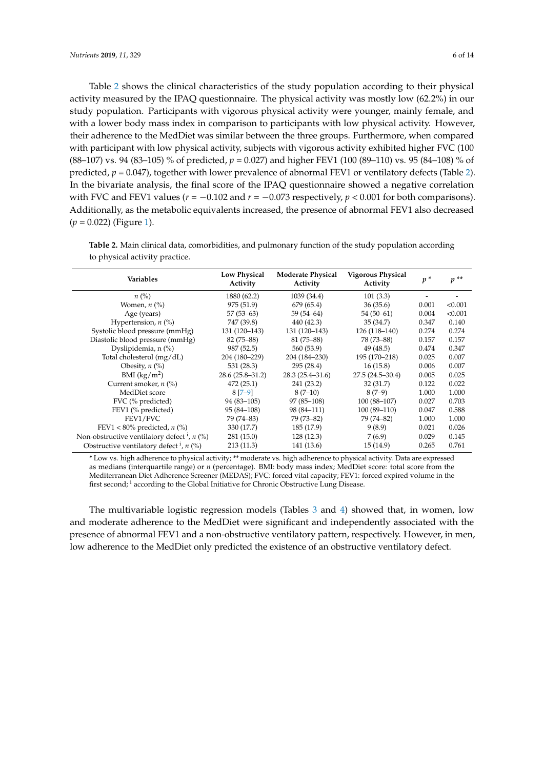Table [2](#page-5-0) shows the clinical characteristics of the study population according to their physical activity measured by the IPAQ questionnaire. The physical activity was mostly low (62.2%) in our study population. Participants with vigorous physical activity were younger, mainly female, and with a lower body mass index in comparison to participants with low physical activity. However, their adherence to the MedDiet was similar between the three groups. Furthermore, when compared with participant with low physical activity, subjects with vigorous activity exhibited higher FVC (100 (88–107) vs. 94 (83–105) % of predicted, *p* = 0.027) and higher FEV1 (100 (89–110) vs. 95 (84–108) % of predicted,  $p = 0.047$ ), together with lower prevalence of abnormal FEV1 or ventilatory defects (Table [2\)](#page-5-0). In the bivariate analysis, the final score of the IPAQ questionnaire showed a negative correlation with FVC and FEV1 values ( $r = -0.102$  and  $r = -0.073$  respectively,  $p < 0.001$  for both comparisons). Additionally, as the metabolic equivalents increased, the presence of abnormal FEV1 also decreased (*p* = 0.022) (Figure [1\)](#page-4-1).

| <b>Variables</b>                                          | <b>Low Physical</b><br>Activity | <b>Moderate Physical</b><br>Activity | <b>Vigorous Physical</b><br>Activity | $p^*$ | $p^{**}$ |
|-----------------------------------------------------------|---------------------------------|--------------------------------------|--------------------------------------|-------|----------|
| $n\left(\%\right)$                                        | 1880 (62.2)                     | 1039 (34.4)                          | 101(3.3)                             |       |          |
| Women, $n$ (%)                                            | 975 (51.9)                      | 679 (65.4)                           | 36(35.6)                             | 0.001 | < 0.001  |
| Age (years)                                               | $57(53-63)$                     | $59(54-64)$                          | $54(50-61)$                          | 0.004 | < 0.001  |
| Hypertension, $n$ (%)                                     | 747 (39.8)                      | 440 (42.3)                           | 35(34.7)                             | 0.347 | 0.140    |
| Systolic blood pressure (mmHg)                            | 131 (120–143)                   | 131 (120–143)                        | $126(118-140)$                       | 0.274 | 0.274    |
| Diastolic blood pressure (mmHg)                           | $82(75-88)$                     | $81(75-88)$                          | 78 (73-88)                           | 0.157 | 0.157    |
| Dyslipidemia, n (%)                                       | 987 (52.5)                      | 560 (53.9)                           | 49(48.5)                             | 0.474 | 0.347    |
| Total cholesterol (mg/dL)                                 | 204 (180-229)                   | 204 (184-230)                        | 195 (170-218)                        | 0.025 | 0.007    |
| Obesity, $n$ (%)                                          | 531 (28.3)                      | 295(28.4)                            | 16(15.8)                             | 0.006 | 0.007    |
| BMI $(kg/m^2)$                                            | $28.6(25.8-31.2)$               | $28.3(25.4 - 31.6)$                  | $27.5(24.5-30.4)$                    | 0.005 | 0.025    |
| Current smoker, $n$ (%)                                   | 472(25.1)                       | 241 (23.2)                           | 32(31.7)                             | 0.122 | 0.022    |
| MedDiet score                                             | $8[7-9]$                        | $8(7-10)$                            | $8(7-9)$                             | 1.000 | 1.000    |
| FVC (% predicted)                                         | $94(83-105)$                    | $97(85-108)$                         | $100(88-107)$                        | 0.027 | 0.703    |
| FEV1 (% predicted)                                        | $95(84 - 108)$                  | 98 (84–111)                          | $100(89-110)$                        | 0.047 | 0.588    |
| FEV1/FVC                                                  | 79 (74–83)                      | 79 (73-82)                           | 79 (74-82)                           | 1.000 | 1.000    |
| FEV1 < $80\%$ predicted, <i>n</i> $(\% )$                 | 330 (17.7)                      | 185 (17.9)                           | 9(8.9)                               | 0.021 | 0.026    |
| Non-obstructive ventilatory defect <sup>1</sup> , $n$ (%) | 281 (15.0)                      | 128(12.3)                            | 7(6.9)                               | 0.029 | 0.145    |
| Obstructive ventilatory defect $\frac{1}{l}$ , n (%)      | 213(11.3)                       | 141 (13.6)                           | 15 (14.9)                            | 0.265 | 0.761    |

<span id="page-5-0"></span>**Table 2.** Main clinical data, comorbidities, and pulmonary function of the study population according to physical activity practice.

\* Low vs. high adherence to physical activity; \*\* moderate vs. high adherence to physical activity. Data are expressed as medians (interquartile range) or *n* (percentage). BMI: body mass index; MedDiet score: total score from the Mediterranean Diet Adherence Screener (MEDAS); FVC: forced vital capacity; FEV1: forced expired volume in the first second; <sup>i</sup> according to the Global Initiative for Chronic Obstructive Lung Disease.

The multivariable logistic regression models (Tables  $3$  and  $4$ ) showed that, in women, low and moderate adherence to the MedDiet were significant and independently associated with the presence of abnormal FEV1 and a non-obstructive ventilatory pattern, respectively. However, in men, low adherence to the MedDiet only predicted the existence of an obstructive ventilatory defect.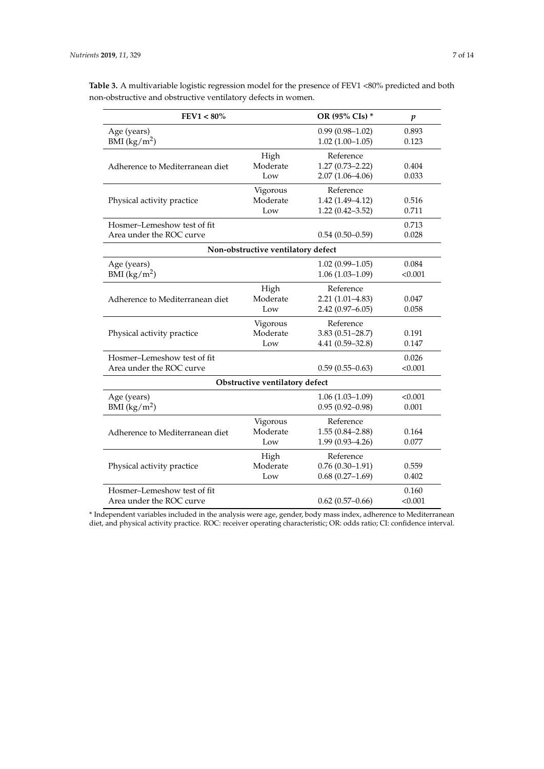| $FEV1 < 80\%$                   |                                    | OR (95% CIs) *      | $\boldsymbol{p}$ |  |
|---------------------------------|------------------------------------|---------------------|------------------|--|
| Age (years)                     |                                    | $0.99(0.98 - 1.02)$ | 0.893            |  |
| BMI $(kg/m^2)$                  |                                    | $1.02(1.00-1.05)$   | 0.123            |  |
|                                 | High                               | Reference           |                  |  |
| Adherence to Mediterranean diet | Moderate                           | $1.27(0.73 - 2.22)$ | 0.404            |  |
|                                 | Low                                | $2.07(1.06 - 4.06)$ | 0.033            |  |
|                                 | Vigorous                           | Reference           |                  |  |
| Physical activity practice      | Moderate                           | 1.42 (1.49-4.12)    | 0.516            |  |
|                                 | Low                                | $1.22(0.42 - 3.52)$ | 0.711            |  |
| Hosmer-Lemeshow test of fit     |                                    |                     | 0.713            |  |
| Area under the ROC curve        |                                    | $0.54(0.50-0.59)$   | 0.028            |  |
|                                 | Non-obstructive ventilatory defect |                     |                  |  |
| Age (years)                     |                                    | $1.02(0.99 - 1.05)$ | 0.084            |  |
| BMI $(kg/m^2)$                  |                                    | $1.06(1.03 - 1.09)$ | < 0.001          |  |
|                                 | High                               | Reference           |                  |  |
| Adherence to Mediterranean diet | Moderate                           | $2.21(1.01 - 4.83)$ | 0.047            |  |
|                                 | Low                                | $2.42(0.97 - 6.05)$ | 0.058            |  |
|                                 | Vigorous                           | Reference           |                  |  |
| Physical activity practice      | Moderate                           | $3.83(0.51 - 28.7)$ | 0.191            |  |
|                                 | Low                                | 4.41 (0.59-32.8)    | 0.147            |  |
| Hosmer-Lemeshow test of fit     |                                    |                     | 0.026            |  |
| Area under the ROC curve        |                                    | $0.59(0.55 - 0.63)$ | < 0.001          |  |
| Obstructive ventilatory defect  |                                    |                     |                  |  |
| Age (years)                     |                                    | $1.06(1.03 - 1.09)$ | < 0.001          |  |
| BMI $(kg/m^2)$                  |                                    | $0.95(0.92 - 0.98)$ | 0.001            |  |
|                                 | Vigorous                           | Reference           |                  |  |
| Adherence to Mediterranean diet | Moderate                           | $1.55(0.84 - 2.88)$ | 0.164            |  |
|                                 | Low                                | $1.99(0.93 - 4.26)$ | 0.077            |  |
|                                 | High                               | Reference           |                  |  |
| Physical activity practice      | Moderate                           | $0.76(0.30-1.91)$   | 0.559            |  |
|                                 | Low                                | $0.68(0.27-1.69)$   | 0.402            |  |
| Hosmer-Lemeshow test of fit     |                                    |                     | 0.160            |  |
| Area under the ROC curve        |                                    | $0.62$ (0.57-0.66)  | < 0.001          |  |

<span id="page-6-0"></span>Table 3. A multivariable logistic regression model for the presence of FEV1 <80% predicted and both non-obstructive and obstructive ventilatory defects in women.

\* Independent variables included in the analysis were age, gender, body mass index, adherence to Mediterranean diet, and physical activity practice. ROC: receiver operating characteristic; OR: odds ratio; CI: confidence interval.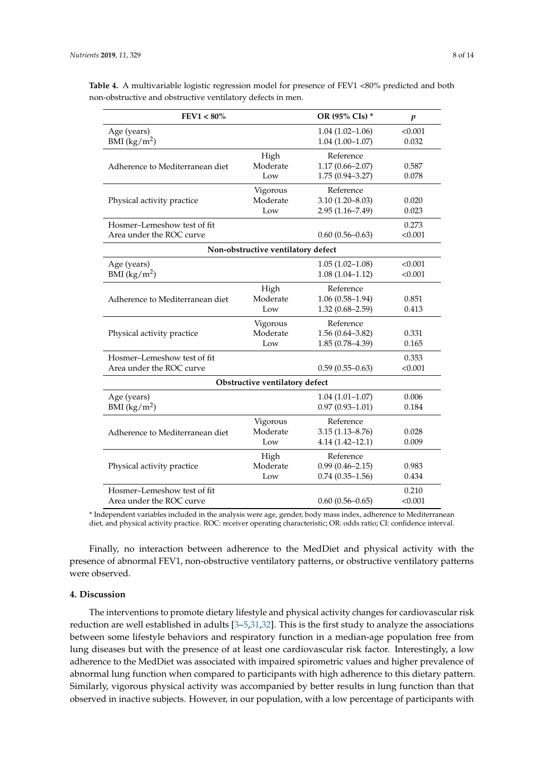| $FEV1 < 80\%$                   |                                    | OR (95% CIs) *      | $\boldsymbol{p}$ |
|---------------------------------|------------------------------------|---------------------|------------------|
| Age (years)                     |                                    | $1.04(1.02 - 1.06)$ | < 0.001          |
| BMI $(kg/m^2)$                  |                                    | $1.04(1.00-1.07)$   | 0.032            |
|                                 | High                               | Reference           |                  |
| Adherence to Mediterranean diet | Moderate                           | $1.17(0.66 - 2.07)$ | 0.587            |
|                                 | Low                                | $1.75(0.94 - 3.27)$ | 0.078            |
|                                 | Vigorous                           | Reference           |                  |
| Physical activity practice      | Moderate                           | $3.10(1.20 - 8.03)$ | 0.020            |
|                                 | Low                                | 2.95 (1.16-7.49)    | 0.023            |
| Hosmer-Lemeshow test of fit     |                                    |                     | 0.273            |
| Area under the ROC curve        |                                    | $0.60(0.56 - 0.63)$ | < 0.001          |
|                                 | Non-obstructive ventilatory defect |                     |                  |
| Age (years)                     |                                    | $1.05(1.02 - 1.08)$ | < 0.001          |
| BMI $(kg/m^2)$                  |                                    | $1.08(1.04 - 1.12)$ | < 0.001          |
|                                 | High                               | Reference           |                  |
| Adherence to Mediterranean diet | Moderate                           | $1.06(0.58-1.94)$   | 0.851            |
|                                 | Low                                | $1.32(0.68 - 2.59)$ | 0.413            |
|                                 | Vigorous                           | Reference           |                  |
| Physical activity practice      | Moderate                           | $1.56(0.64 - 3.82)$ | 0.331            |
|                                 | Low                                | $1.85(0.78 - 4.39)$ | 0.165            |
| Hosmer-Lemeshow test of fit     |                                    |                     | 0.353            |
| Area under the ROC curve        |                                    | $0.59(0.55 - 0.63)$ | < 0.001          |
|                                 | Obstructive ventilatory defect     |                     |                  |
| Age (years)                     |                                    | $1.04(1.01-1.07)$   | 0.006            |
| BMI $(kg/m^2)$                  |                                    | $0.97(0.93 - 1.01)$ | 0.184            |
|                                 | Vigorous                           | Reference           |                  |
| Adherence to Mediterranean diet | Moderate                           | $3.15(1.13 - 8.76)$ | 0.028            |
|                                 | Low                                | $4.14(1.42 - 12.1)$ | 0.009            |
|                                 | High                               | Reference           |                  |
| Physical activity practice      | Moderate                           | $0.99(0.46 - 2.15)$ | 0.983            |
|                                 | Low                                | $0.74(0.35 - 1.56)$ | 0.434            |
| Hosmer-Lemeshow test of fit     |                                    |                     | 0.210            |
| Area under the ROC curve        |                                    | $0.60(0.56 - 0.65)$ | < 0.001          |

<span id="page-7-0"></span>Table 4. A multivariable logistic regression model for presence of FEV1 <80% predicted and both non-obstructive and obstructive ventilatory defects in men.

\* Independent variables included in the analysis were age, gender, body mass index, adherence to Mediterranean diet, and physical activity practice. ROC: receiver operating characteristic; OR: odds ratio; CI: confidence interval.

Finally, no interaction between adherence to the MedDiet and physical activity with the presence of abnormal FEV1, non-obstructive ventilatory patterns, or obstructive ventilatory patterns were observed.

## **4. Discussion**

The interventions to promote dietary lifestyle and physical activity changes for cardiovascular risk reduction are well established in adults [\[3–](#page-10-2)[5,](#page-10-3)[31,](#page-11-9)[32\]](#page-11-10). This is the first study to analyze the associations between some lifestyle behaviors and respiratory function in a median-age population free from lung diseases but with the presence of at least one cardiovascular risk factor. Interestingly, a low adherence to the MedDiet was associated with impaired spirometric values and higher prevalence of abnormal lung function when compared to participants with high adherence to this dietary pattern. Similarly, vigorous physical activity was accompanied by better results in lung function than that observed in inactive subjects. However, in our population, with a low percentage of participants with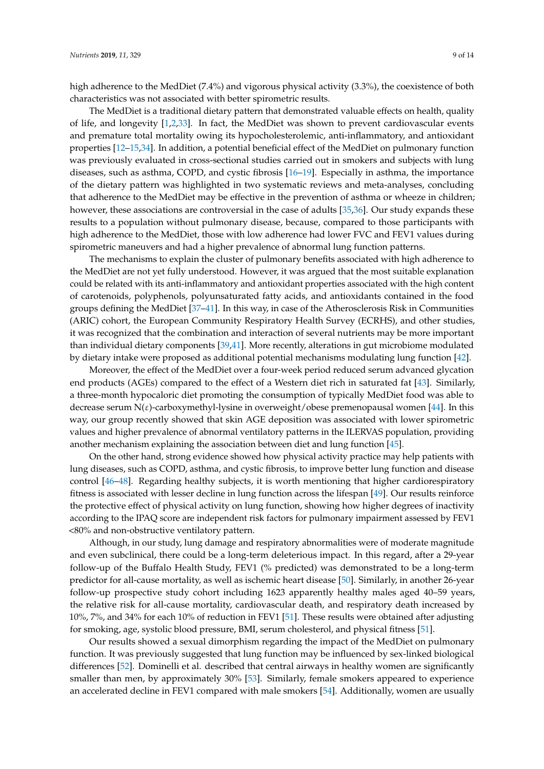high adherence to the MedDiet (7.4%) and vigorous physical activity (3.3%), the coexistence of both characteristics was not associated with better spirometric results.

The MedDiet is a traditional dietary pattern that demonstrated valuable effects on health, quality of life, and longevity [\[1,](#page-10-0)[2,](#page-10-1)[33\]](#page-11-11). In fact, the MedDiet was shown to prevent cardiovascular events and premature total mortality owing its hypocholesterolemic, anti-inflammatory, and antioxidant properties [\[12](#page-10-6)[–15](#page-10-7)[,34\]](#page-11-12). In addition, a potential beneficial effect of the MedDiet on pulmonary function was previously evaluated in cross-sectional studies carried out in smokers and subjects with lung diseases, such as asthma, COPD, and cystic fibrosis [\[16](#page-10-8)[–19\]](#page-10-9). Especially in asthma, the importance of the dietary pattern was highlighted in two systematic reviews and meta-analyses, concluding that adherence to the MedDiet may be effective in the prevention of asthma or wheeze in children; however, these associations are controversial in the case of adults [\[35,](#page-11-13)[36\]](#page-11-14). Our study expands these results to a population without pulmonary disease, because, compared to those participants with high adherence to the MedDiet, those with low adherence had lower FVC and FEV1 values during spirometric maneuvers and had a higher prevalence of abnormal lung function patterns.

The mechanisms to explain the cluster of pulmonary benefits associated with high adherence to the MedDiet are not yet fully understood. However, it was argued that the most suitable explanation could be related with its anti-inflammatory and antioxidant properties associated with the high content of carotenoids, polyphenols, polyunsaturated fatty acids, and antioxidants contained in the food groups defining the MedDiet [\[37–](#page-11-15)[41\]](#page-12-0). In this way, in case of the Atherosclerosis Risk in Communities (ARIC) cohort, the European Community Respiratory Health Survey (ECRHS), and other studies, it was recognized that the combination and interaction of several nutrients may be more important than individual dietary components [\[39](#page-12-1)[,41\]](#page-12-0). More recently, alterations in gut microbiome modulated by dietary intake were proposed as additional potential mechanisms modulating lung function [\[42\]](#page-12-2).

Moreover, the effect of the MedDiet over a four-week period reduced serum advanced glycation end products (AGEs) compared to the effect of a Western diet rich in saturated fat [\[43\]](#page-12-3). Similarly, a three-month hypocaloric diet promoting the consumption of typically MedDiet food was able to decrease serum  $N(\varepsilon)$ -carboxymethyl-lysine in overweight/obese premenopausal women [\[44\]](#page-12-4). In this way, our group recently showed that skin AGE deposition was associated with lower spirometric values and higher prevalence of abnormal ventilatory patterns in the ILERVAS population, providing another mechanism explaining the association between diet and lung function [\[45\]](#page-12-5).

On the other hand, strong evidence showed how physical activity practice may help patients with lung diseases, such as COPD, asthma, and cystic fibrosis, to improve better lung function and disease control [\[46–](#page-12-6)[48\]](#page-12-7). Regarding healthy subjects, it is worth mentioning that higher cardiorespiratory fitness is associated with lesser decline in lung function across the lifespan [\[49\]](#page-12-8). Our results reinforce the protective effect of physical activity on lung function, showing how higher degrees of inactivity according to the IPAQ score are independent risk factors for pulmonary impairment assessed by FEV1 <80% and non-obstructive ventilatory pattern.

Although, in our study, lung damage and respiratory abnormalities were of moderate magnitude and even subclinical, there could be a long-term deleterious impact. In this regard, after a 29-year follow-up of the Buffalo Health Study, FEV1 (% predicted) was demonstrated to be a long-term predictor for all-cause mortality, as well as ischemic heart disease [\[50\]](#page-12-9). Similarly, in another 26-year follow-up prospective study cohort including 1623 apparently healthy males aged 40–59 years, the relative risk for all-cause mortality, cardiovascular death, and respiratory death increased by 10%, 7%, and 34% for each 10% of reduction in FEV1 [\[51\]](#page-12-10). These results were obtained after adjusting for smoking, age, systolic blood pressure, BMI, serum cholesterol, and physical fitness [\[51\]](#page-12-10).

Our results showed a sexual dimorphism regarding the impact of the MedDiet on pulmonary function. It was previously suggested that lung function may be influenced by sex-linked biological differences [\[52\]](#page-12-11). Dominelli et al. described that central airways in healthy women are significantly smaller than men, by approximately 30% [\[53\]](#page-12-12). Similarly, female smokers appeared to experience an accelerated decline in FEV1 compared with male smokers [\[54\]](#page-12-13). Additionally, women are usually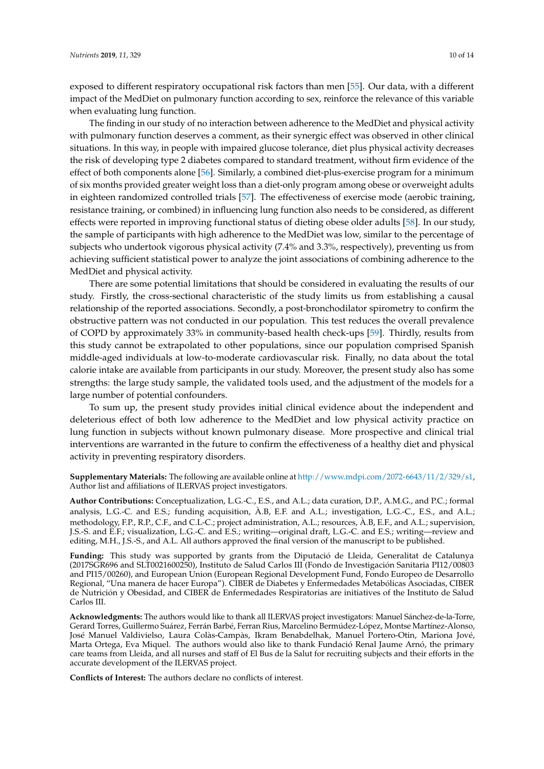exposed to different respiratory occupational risk factors than men [\[55\]](#page-12-14). Our data, with a different impact of the MedDiet on pulmonary function according to sex, reinforce the relevance of this variable when evaluating lung function.

The finding in our study of no interaction between adherence to the MedDiet and physical activity with pulmonary function deserves a comment, as their synergic effect was observed in other clinical situations. In this way, in people with impaired glucose tolerance, diet plus physical activity decreases the risk of developing type 2 diabetes compared to standard treatment, without firm evidence of the effect of both components alone [\[56\]](#page-12-15). Similarly, a combined diet-plus-exercise program for a minimum of six months provided greater weight loss than a diet-only program among obese or overweight adults in eighteen randomized controlled trials [\[57\]](#page-12-16). The effectiveness of exercise mode (aerobic training, resistance training, or combined) in influencing lung function also needs to be considered, as different effects were reported in improving functional status of dieting obese older adults [\[58\]](#page-13-0). In our study, the sample of participants with high adherence to the MedDiet was low, similar to the percentage of subjects who undertook vigorous physical activity (7.4% and 3.3%, respectively), preventing us from achieving sufficient statistical power to analyze the joint associations of combining adherence to the MedDiet and physical activity.

There are some potential limitations that should be considered in evaluating the results of our study. Firstly, the cross-sectional characteristic of the study limits us from establishing a causal relationship of the reported associations. Secondly, a post-bronchodilator spirometry to confirm the obstructive pattern was not conducted in our population. This test reduces the overall prevalence of COPD by approximately 33% in community-based health check-ups [\[59\]](#page-13-1). Thirdly, results from this study cannot be extrapolated to other populations, since our population comprised Spanish middle-aged individuals at low-to-moderate cardiovascular risk. Finally, no data about the total calorie intake are available from participants in our study. Moreover, the present study also has some strengths: the large study sample, the validated tools used, and the adjustment of the models for a large number of potential confounders.

To sum up, the present study provides initial clinical evidence about the independent and deleterious effect of both low adherence to the MedDiet and low physical activity practice on lung function in subjects without known pulmonary disease. More prospective and clinical trial interventions are warranted in the future to confirm the effectiveness of a healthy diet and physical activity in preventing respiratory disorders.

**Supplementary Materials:** The following are available online at [http://www.mdpi.com/2072-6643/11/2/329/s1,](http://www.mdpi.com/2072-6643/11/2/329/s1) Author list and affiliations of ILERVAS project investigators.

**Author Contributions:** Conceptualization, L.G.-C., E.S., and A.L.; data curation, D.P., A.M.G., and P.C.; formal analysis, L.G.-C. and E.S.; funding acquisition, À.B, E.F. and A.L.; investigation, L.G.-C., E.S., and A.L.; methodology, F.P., R.P., C.F., and C.L-C.; project administration, A.L.; resources, À.B, E.F., and A.L.; supervision, J.S.-S. and E.F.; visualization, L.G.-C. and E.S.; writing—original draft, L.G.-C. and E.S.; writing—review and editing, M.H., J.S.-S., and A.L. All authors approved the final version of the manuscript to be published.

**Funding:** This study was supported by grants from the Diputació de Lleida, Generalitat de Catalunya (2017SGR696 and SLT0021600250), Instituto de Salud Carlos III (Fondo de Investigación Sanitaria PI12/00803 and PI15/00260), and European Union (European Regional Development Fund, Fondo Europeo de Desarrollo Regional, "Una manera de hacer Europa"). CIBER de Diabetes y Enfermedades Metabólicas Asociadas, CIBER de Nutrición y Obesidad, and CIBER de Enfermedades Respiratorias are initiatives of the Instituto de Salud Carlos III.

**Acknowledgments:** The authors would like to thank all ILERVAS project investigators: Manuel Sánchez-de-la-Torre, Gerard Torres, Guillermo Suárez, Ferrán Barbé, Ferran Rius, Marcelino Bermúdez-López, Montse Martínez-Alonso, José Manuel Valdivielso, Laura Colàs-Campàs, Ikram Benabdelhak, Manuel Portero-Otin, Mariona Jové, Marta Ortega, Eva Miquel. The authors would also like to thank Fundació Renal Jaume Arnó, the primary care teams from Lleida, and all nurses and staff of El Bus de la Salut for recruiting subjects and their efforts in the accurate development of the ILERVAS project.

**Conflicts of Interest:** The authors declare no conflicts of interest.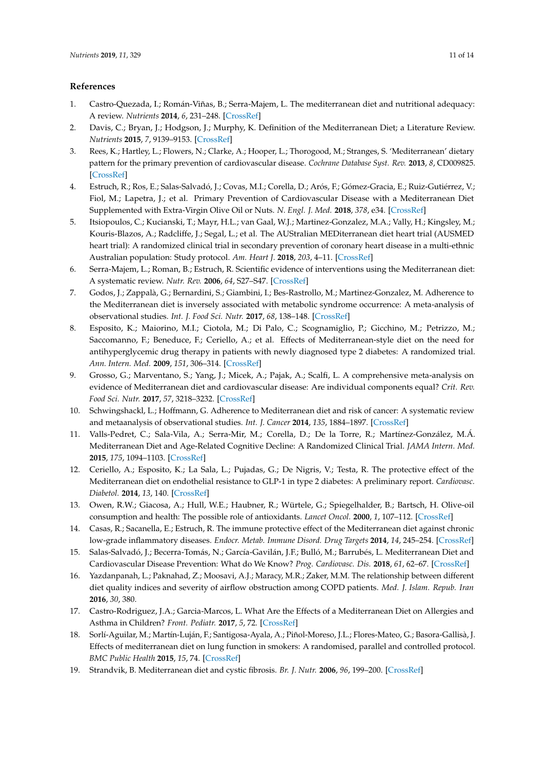# **References**

- <span id="page-10-0"></span>1. Castro-Quezada, I.; Román-Viñas, B.; Serra-Majem, L. The mediterranean diet and nutritional adequacy: A review. *Nutrients* **2014**, *6*, 231–248. [\[CrossRef\]](http://dx.doi.org/10.3390/nu6010231)
- <span id="page-10-1"></span>2. Davis, C.; Bryan, J.; Hodgson, J.; Murphy, K. Definition of the Mediterranean Diet; a Literature Review. *Nutrients* **2015**, *7*, 9139–9153. [\[CrossRef\]](http://dx.doi.org/10.3390/nu7115459)
- <span id="page-10-2"></span>3. Rees, K.; Hartley, L.; Flowers, N.; Clarke, A.; Hooper, L.; Thorogood, M.; Stranges, S. 'Mediterranean' dietary pattern for the primary prevention of cardiovascular disease. *Cochrane Database Syst. Rev.* **2013**, *8*, CD009825. [\[CrossRef\]](http://dx.doi.org/10.1002/14651858.CD009825.pub2)
- <span id="page-10-10"></span>4. Estruch, R.; Ros, E.; Salas-Salvadó, J.; Covas, M.I.; Corella, D.; Arós, F.; Gómez-Gracia, E.; Ruiz-Gutiérrez, V.; Fiol, M.; Lapetra, J.; et al. Primary Prevention of Cardiovascular Disease with a Mediterranean Diet Supplemented with Extra-Virgin Olive Oil or Nuts. *N. Engl. J. Med.* **2018**, *378*, e34. [\[CrossRef\]](http://dx.doi.org/10.1056/NEJMoa1800389)
- <span id="page-10-3"></span>5. Itsiopoulos, C.; Kucianski, T.; Mayr, H.L.; van Gaal, W.J.; Martinez-Gonzalez, M.A.; Vally, H.; Kingsley, M.; Kouris-Blazos, A.; Radcliffe, J.; Segal, L.; et al. The AUStralian MEDiterranean diet heart trial (AUSMED heart trial): A randomized clinical trial in secondary prevention of coronary heart disease in a multi-ethnic Australian population: Study protocol. *Am. Heart J.* **2018**, *203*, 4–11. [\[CrossRef\]](http://dx.doi.org/10.1016/j.ahj.2018.05.010)
- <span id="page-10-4"></span>6. Serra-Majem, L.; Roman, B.; Estruch, R. Scientific evidence of interventions using the Mediterranean diet: A systematic review. *Nutr. Rev.* **2006**, *64*, S27–S47. [\[CrossRef\]](http://dx.doi.org/10.1111/j.1753-4887.2006.tb00232.x)
- <span id="page-10-11"></span>7. Godos, J.; Zappalà, G.; Bernardini, S.; Giambini, I.; Bes-Rastrollo, M.; Martinez-Gonzalez, M. Adherence to the Mediterranean diet is inversely associated with metabolic syndrome occurrence: A meta-analysis of observational studies. *Int. J. Food Sci. Nutr.* **2017**, *68*, 138–148. [\[CrossRef\]](http://dx.doi.org/10.1080/09637486.2016.1221900)
- 8. Esposito, K.; Maiorino, M.I.; Ciotola, M.; Di Palo, C.; Scognamiglio, P.; Gicchino, M.; Petrizzo, M.; Saccomanno, F.; Beneduce, F.; Ceriello, A.; et al. Effects of Mediterranean-style diet on the need for antihyperglycemic drug therapy in patients with newly diagnosed type 2 diabetes: A randomized trial. *Ann. Intern. Med.* **2009**, *151*, 306–314. [\[CrossRef\]](http://dx.doi.org/10.7326/0003-4819-151-5-200909010-00004)
- <span id="page-10-12"></span>9. Grosso, G.; Marventano, S.; Yang, J.; Micek, A.; Pajak, A.; Scalfi, L. A comprehensive meta-analysis on evidence of Mediterranean diet and cardiovascular disease: Are individual components equal? *Crit. Rev. Food Sci. Nutr.* **2017**, *57*, 3218–3232. [\[CrossRef\]](http://dx.doi.org/10.1080/10408398.2015.1107021)
- 10. Schwingshackl, L.; Hoffmann, G. Adherence to Mediterranean diet and risk of cancer: A systematic review and metaanalysis of observational studies. *Int. J. Cancer* **2014**, *135*, 1884–1897. [\[CrossRef\]](http://dx.doi.org/10.1002/ijc.28824)
- <span id="page-10-5"></span>11. Valls-Pedret, C.; Sala-Vila, A.; Serra-Mir, M.; Corella, D.; De la Torre, R.; Martínez-González, M.Á. Mediterranean Diet and Age-Related Cognitive Decline: A Randomized Clinical Trial. *JAMA Intern. Med.* **2015**, *175*, 1094–1103. [\[CrossRef\]](http://dx.doi.org/10.1001/jamainternmed.2015.1668)
- <span id="page-10-6"></span>12. Ceriello, A.; Esposito, K.; La Sala, L.; Pujadas, G.; De Nigris, V.; Testa, R. The protective effect of the Mediterranean diet on endothelial resistance to GLP-1 in type 2 diabetes: A preliminary report. *Cardiovasc. Diabetol.* **2014**, *13*, 140. [\[CrossRef\]](http://dx.doi.org/10.1186/s12933-014-0140-9)
- 13. Owen, R.W.; Giacosa, A.; Hull, W.E.; Haubner, R.; Würtele, G.; Spiegelhalder, B.; Bartsch, H. Olive-oil consumption and health: The possible role of antioxidants. *Lancet Oncol.* **2000**, *1*, 107–112. [\[CrossRef\]](http://dx.doi.org/10.1016/S1470-2045(00)00015-2)
- 14. Casas, R.; Sacanella, E.; Estruch, R. The immune protective effect of the Mediterranean diet against chronic low-grade inflammatory diseases. *Endocr. Metab. Immune Disord. Drug Targets* **2014**, *14*, 245–254. [\[CrossRef\]](http://dx.doi.org/10.2174/1871530314666140922153350)
- <span id="page-10-7"></span>15. Salas-Salvadó, J.; Becerra-Tomás, N.; García-Gavilán, J.F.; Bulló, M.; Barrubés, L. Mediterranean Diet and Cardiovascular Disease Prevention: What do We Know? *Prog. Cardiovasc. Dis.* **2018**, *61*, 62–67. [\[CrossRef\]](http://dx.doi.org/10.1016/j.pcad.2018.04.006)
- <span id="page-10-8"></span>16. Yazdanpanah, L.; Paknahad, Z.; Moosavi, A.J.; Maracy, M.R.; Zaker, M.M. The relationship between different diet quality indices and severity of airflow obstruction among COPD patients. *Med. J. Islam. Repub. Iran* **2016**, *30*, 380.
- 17. Castro-Rodriguez, J.A.; Garcia-Marcos, L. What Are the Effects of a Mediterranean Diet on Allergies and Asthma in Children? *Front. Pediatr.* **2017**, *5*, 72. [\[CrossRef\]](http://dx.doi.org/10.3389/fped.2017.00072)
- 18. Sorlí-Aguilar, M.; Martín-Luján, F.; Santigosa-Ayala, A.; Piñol-Moreso, J.L.; Flores-Mateo, G.; Basora-Gallisà, J. Effects of mediterranean diet on lung function in smokers: A randomised, parallel and controlled protocol. *BMC Public Health* **2015**, *15*, 74. [\[CrossRef\]](http://dx.doi.org/10.1186/s12889-015-1450-x)
- <span id="page-10-9"></span>19. Strandvik, B. Mediterranean diet and cystic fibrosis. *Br. J. Nutr.* **2006**, *96*, 199–200. [\[CrossRef\]](http://dx.doi.org/10.1079/BJN20061815)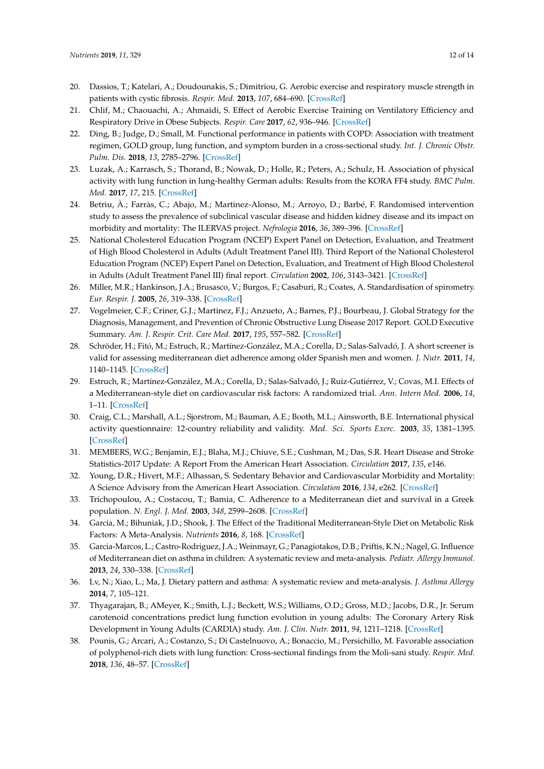- <span id="page-11-0"></span>20. Dassios, T.; Katelari, A.; Doudounakis, S.; Dimitriou, G. Aerobic exercise and respiratory muscle strength in patients with cystic fibrosis. *Respir. Med.* **2013**, *107*, 684–690. [\[CrossRef\]](http://dx.doi.org/10.1016/j.rmed.2013.01.016)
- 21. Chlif, M.; Chaouachi, A.; Ahmaidi, S. Effect of Aerobic Exercise Training on Ventilatory Efficiency and Respiratory Drive in Obese Subjects. *Respir. Care* **2017**, *62*, 936–946. [\[CrossRef\]](http://dx.doi.org/10.4187/respcare.04923)
- 22. Ding, B.; Judge, D.; Small, M. Functional performance in patients with COPD: Association with treatment regimen, GOLD group, lung function, and symptom burden in a cross-sectional study. *Int. J. Chronic Obstr. Pulm. Dis.* **2018**, *13*, 2785–2796. [\[CrossRef\]](http://dx.doi.org/10.2147/COPD.S170391)
- <span id="page-11-1"></span>23. Luzak, A.; Karrasch, S.; Thorand, B.; Nowak, D.; Holle, R.; Peters, A.; Schulz, H. Association of physical activity with lung function in lung-healthy German adults: Results from the KORA FF4 study. *BMC Pulm. Med.* **2017**, *17*, 215. [\[CrossRef\]](http://dx.doi.org/10.1186/s12890-017-0562-8)
- <span id="page-11-2"></span>24. Betriu, À.; Farràs, C.; Abajo, M.; Martinez-Alonso, M.; Arroyo, D.; Barbé, F. Randomised intervention study to assess the prevalence of subclinical vascular disease and hidden kidney disease and its impact on morbidity and mortality: The ILERVAS project. *Nefrologia* **2016**, *36*, 389–396. [\[CrossRef\]](http://dx.doi.org/10.1016/j.nefro.2016.02.008)
- <span id="page-11-3"></span>25. National Cholesterol Education Program (NCEP) Expert Panel on Detection, Evaluation, and Treatment of High Blood Cholesterol in Adults (Adult Treatment Panel III). Third Report of the National Cholesterol Education Program (NCEP) Expert Panel on Detection, Evaluation, and Treatment of High Blood Cholesterol in Adults (Adult Treatment Panel III) final report. *Circulation* **2002**, *106*, 3143–3421. [\[CrossRef\]](http://dx.doi.org/10.1161/circ.106.25.3143)
- <span id="page-11-4"></span>26. Miller, M.R.; Hankinson, J.A.; Brusasco, V.; Burgos, F.; Casaburi, R.; Coates, A. Standardisation of spirometry. *Eur. Respir. J.* **2005**, *26*, 319–338. [\[CrossRef\]](http://dx.doi.org/10.1183/09031936.05.00034805)
- <span id="page-11-5"></span>27. Vogelmeier, C.F.; Criner, G.J.; Martinez, F.J.; Anzueto, A.; Barnes, P.J.; Bourbeau, J. Global Strategy for the Diagnosis, Management, and Prevention of Chronic Obstructive Lung Disease 2017 Report. GOLD Executive Summary. *Am. J. Respir. Crit. Care Med.* **2017**, *195*, 557–582. [\[CrossRef\]](http://dx.doi.org/10.1164/rccm.201701-0218PP)
- <span id="page-11-6"></span>28. Schröder, H.; Fitó, M.; Estruch, R.; Martínez-González, M.A.; Corella, D.; Salas-Salvadó, J. A short screener is valid for assessing mediterranean diet adherence among older Spanish men and women. *J. Nutr.* **2011**, *14*, 1140–1145. [\[CrossRef\]](http://dx.doi.org/10.3945/jn.110.135566)
- <span id="page-11-7"></span>29. Estruch, R.; Martínez-González, M.A.; Corella, D.; Salas-Salvadó, J.; Ruiz-Gutiérrez, V.; Covas, M.I. Effects of a Mediterranean-style diet on cardiovascular risk factors: A randomized trial. *Ann. Intern Med.* **2006**, *14*, 1–11. [\[CrossRef\]](http://dx.doi.org/10.7326/0003-4819-145-1-200607040-00004)
- <span id="page-11-8"></span>30. Craig, C.L.; Marshall, A.L.; Sjorstrom, M.; Bauman, A.E.; Booth, M.L.; Ainsworth, B.E. International physical activity questionnaire: 12-country reliability and validity. *Med. Sci. Sports Exerc.* **2003**, *35*, 1381–1395. [\[CrossRef\]](http://dx.doi.org/10.1249/01.MSS.0000078924.61453.FB)
- <span id="page-11-9"></span>31. MEMBERS, W.G.; Benjamin, E.J.; Blaha, M.J.; Chiuve, S.E.; Cushman, M.; Das, S.R. Heart Disease and Stroke Statistics-2017 Update: A Report From the American Heart Association. *Circulation* **2017**, *135*, e146.
- <span id="page-11-10"></span>32. Young, D.R.; Hivert, M.F.; Alhassan, S. Sedentary Behavior and Cardiovascular Morbidity and Mortality: A Science Advisory from the American Heart Association. *Circulation* **2016**, *134*, e262. [\[CrossRef\]](http://dx.doi.org/10.1161/CIR.0000000000000440)
- <span id="page-11-11"></span>33. Trichopoulou, A.; Costacou, T.; Bamia, C. Adherence to a Mediterranean diet and survival in a Greek population. *N. Engl. J. Med.* **2003**, *348*, 2599–2608. [\[CrossRef\]](http://dx.doi.org/10.1056/NEJMoa025039)
- <span id="page-11-12"></span>34. Garcia, M.; Bihuniak, J.D.; Shook, J. The Effect of the Traditional Mediterranean-Style Diet on Metabolic Risk Factors: A Meta-Analysis. *Nutrients* **2016**, *8*, 168. [\[CrossRef\]](http://dx.doi.org/10.3390/nu8030168)
- <span id="page-11-13"></span>35. Garcia-Marcos, L.; Castro-Rodriguez, J.A.; Weinmayr, G.; Panagiotakos, D.B.; Priftis, K.N.; Nagel, G. Influence of Mediterranean diet on asthma in children: A systematic review and meta-analysis. *Pediatr. Allergy Immunol.* **2013**, *24*, 330–338. [\[CrossRef\]](http://dx.doi.org/10.1111/pai.12071)
- <span id="page-11-14"></span>36. Lv, N.; Xiao, L.; Ma, J. Dietary pattern and asthma: A systematic review and meta-analysis. *J. Asthma Allergy* **2014**, *7*, 105–121.
- <span id="page-11-15"></span>37. Thyagarajan, B.; AMeyer, K.; Smith, L.J.; Beckett, W.S.; Williams, O.D.; Gross, M.D.; Jacobs, D.R., Jr. Serum carotenoid concentrations predict lung function evolution in young adults: The Coronary Artery Risk Development in Young Adults (CARDIA) study. *Am. J. Clin. Nutr.* **2011**, *94*, 1211–1218. [\[CrossRef\]](http://dx.doi.org/10.3945/ajcn.111.019067)
- 38. Pounis, G.; Arcari, A.; Costanzo, S.; Di Castelnuovo, A.; Bonaccio, M.; Persichillo, M. Favorable association of polyphenol-rich diets with lung function: Cross-sectional findings from the Moli-sani study. *Respir. Med.* **2018**, *136*, 48–57. [\[CrossRef\]](http://dx.doi.org/10.1016/j.rmed.2017.12.007)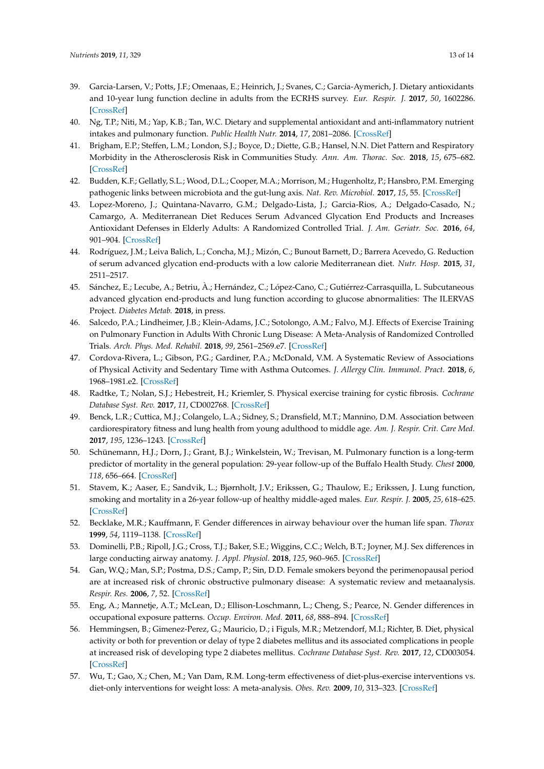- <span id="page-12-1"></span>39. Garcia-Larsen, V.; Potts, J.F.; Omenaas, E.; Heinrich, J.; Svanes, C.; Garcia-Aymerich, J. Dietary antioxidants and 10-year lung function decline in adults from the ECRHS survey. *Eur. Respir. J.* **2017**, *50*, 1602286. [\[CrossRef\]](http://dx.doi.org/10.1183/13993003.02286-2016)
- 40. Ng, T.P.; Niti, M.; Yap, K.B.; Tan, W.C. Dietary and supplemental antioxidant and anti-inflammatory nutrient intakes and pulmonary function. *Public Health Nutr.* **2014**, *17*, 2081–2086. [\[CrossRef\]](http://dx.doi.org/10.1017/S1368980013002590)
- <span id="page-12-0"></span>41. Brigham, E.P.; Steffen, L.M.; London, S.J.; Boyce, D.; Diette, G.B.; Hansel, N.N. Diet Pattern and Respiratory Morbidity in the Atherosclerosis Risk in Communities Study. *Ann. Am. Thorac. Soc.* **2018**, *15*, 675–682. [\[CrossRef\]](http://dx.doi.org/10.1513/AnnalsATS.201707-571OC)
- <span id="page-12-2"></span>42. Budden, K.F.; Gellatly, S.L.; Wood, D.L.; Cooper, M.A.; Morrison, M.; Hugenholtz, P.; Hansbro, P.M. Emerging pathogenic links between microbiota and the gut-lung axis. *Nat. Rev. Microbiol.* **2017**, *15*, 55. [\[CrossRef\]](http://dx.doi.org/10.1038/nrmicro.2016.142)
- <span id="page-12-3"></span>43. Lopez-Moreno, J.; Quintana-Navarro, G.M.; Delgado-Lista, J.; Garcia-Rios, A.; Delgado-Casado, N.; Camargo, A. Mediterranean Diet Reduces Serum Advanced Glycation End Products and Increases Antioxidant Defenses in Elderly Adults: A Randomized Controlled Trial. *J. Am. Geriatr. Soc.* **2016**, *64*, 901–904. [\[CrossRef\]](http://dx.doi.org/10.1111/jgs.14062)
- <span id="page-12-4"></span>44. Rodríguez, J.M.; Leiva Balich, L.; Concha, M.J.; Mizón, C.; Bunout Barnett, D.; Barrera Acevedo, G. Reduction of serum advanced glycation end-products with a low calorie Mediterranean diet. *Nutr. Hosp.* **2015**, *31*, 2511–2517.
- <span id="page-12-5"></span>45. Sánchez, E.; Lecube, A.; Betriu, À.; Hernández, C.; López-Cano, C.; Gutiérrez-Carrasquilla, L. Subcutaneous advanced glycation end-products and lung function according to glucose abnormalities: The ILERVAS Project. *Diabetes Metab.* **2018**, in press.
- <span id="page-12-6"></span>46. Salcedo, P.A.; Lindheimer, J.B.; Klein-Adams, J.C.; Sotolongo, A.M.; Falvo, M.J. Effects of Exercise Training on Pulmonary Function in Adults With Chronic Lung Disease: A Meta-Analysis of Randomized Controlled Trials. *Arch. Phys. Med. Rehabil.* **2018**, *99*, 2561–2569.e7. [\[CrossRef\]](http://dx.doi.org/10.1016/j.apmr.2018.03.014)
- 47. Cordova-Rivera, L.; Gibson, P.G.; Gardiner, P.A.; McDonald, V.M. A Systematic Review of Associations of Physical Activity and Sedentary Time with Asthma Outcomes. *J. Allergy Clin. Immunol. Pract.* **2018**, *6*, 1968–1981.e2. [\[CrossRef\]](http://dx.doi.org/10.1016/j.jaip.2018.02.027)
- <span id="page-12-7"></span>48. Radtke, T.; Nolan, S.J.; Hebestreit, H.; Kriemler, S. Physical exercise training for cystic fibrosis. *Cochrane Database Syst. Rev.* **2017**, *11*, CD002768. [\[CrossRef\]](http://dx.doi.org/10.1002/14651858.CD002768.pub4)
- <span id="page-12-8"></span>49. Benck, L.R.; Cuttica, M.J.; Colangelo, L.A.; Sidney, S.; Dransfield, M.T.; Mannino, D.M. Association between cardiorespiratory fitness and lung health from young adulthood to middle age. *Am. J. Respir. Crit. Care Med.* **2017**, *195*, 1236–1243. [\[CrossRef\]](http://dx.doi.org/10.1164/rccm.201610-2089OC)
- <span id="page-12-9"></span>50. Schünemann, H.J.; Dorn, J.; Grant, B.J.; Winkelstein, W.; Trevisan, M. Pulmonary function is a long-term predictor of mortality in the general population: 29-year follow-up of the Buffalo Health Study. *Chest* **2000**, *118*, 656–664. [\[CrossRef\]](http://dx.doi.org/10.1378/chest.118.3.656)
- <span id="page-12-10"></span>51. Stavem, K.; Aaser, E.; Sandvik, L.; Bjørnholt, J.V.; Erikssen, G.; Thaulow, E.; Erikssen, J. Lung function, smoking and mortality in a 26-year follow-up of healthy middle-aged males. *Eur. Respir. J.* **2005**, *25*, 618–625. [\[CrossRef\]](http://dx.doi.org/10.1183/09031936.05.00008504)
- <span id="page-12-11"></span>52. Becklake, M.R.; Kauffmann, F. Gender differences in airway behaviour over the human life span. *Thorax* **1999**, *54*, 1119–1138. [\[CrossRef\]](http://dx.doi.org/10.1136/thx.54.12.1119)
- <span id="page-12-12"></span>53. Dominelli, P.B.; Ripoll, J.G.; Cross, T.J.; Baker, S.E.; Wiggins, C.C.; Welch, B.T.; Joyner, M.J. Sex differences in large conducting airway anatomy. *J. Appl. Physiol.* **2018**, *125*, 960–965. [\[CrossRef\]](http://dx.doi.org/10.1152/japplphysiol.00440.2018)
- <span id="page-12-13"></span>54. Gan, W.Q.; Man, S.P.; Postma, D.S.; Camp, P.; Sin, D.D. Female smokers beyond the perimenopausal period are at increased risk of chronic obstructive pulmonary disease: A systematic review and metaanalysis. *Respir. Res.* **2006**, *7*, 52. [\[CrossRef\]](http://dx.doi.org/10.1186/1465-9921-7-52)
- <span id="page-12-14"></span>55. Eng, A.; Mannetje, A.T.; McLean, D.; Ellison-Loschmann, L.; Cheng, S.; Pearce, N. Gender differences in occupational exposure patterns. *Occup. Environ. Med.* **2011**, *68*, 888–894. [\[CrossRef\]](http://dx.doi.org/10.1136/oem.2010.064097)
- <span id="page-12-15"></span>56. Hemmingsen, B.; Gimenez-Perez, G.; Mauricio, D.; i Figuls, M.R.; Metzendorf, M.I.; Richter, B. Diet, physical activity or both for prevention or delay of type 2 diabetes mellitus and its associated complications in people at increased risk of developing type 2 diabetes mellitus. *Cochrane Database Syst. Rev.* **2017**, *12*, CD003054. [\[CrossRef\]](http://dx.doi.org/10.1002/14651858.CD003054.pub4)
- <span id="page-12-16"></span>57. Wu, T.; Gao, X.; Chen, M.; Van Dam, R.M. Long-term effectiveness of diet-plus-exercise interventions vs. diet-only interventions for weight loss: A meta-analysis. *Obes. Rev.* **2009**, *10*, 313–323. [\[CrossRef\]](http://dx.doi.org/10.1111/j.1467-789X.2008.00547.x)